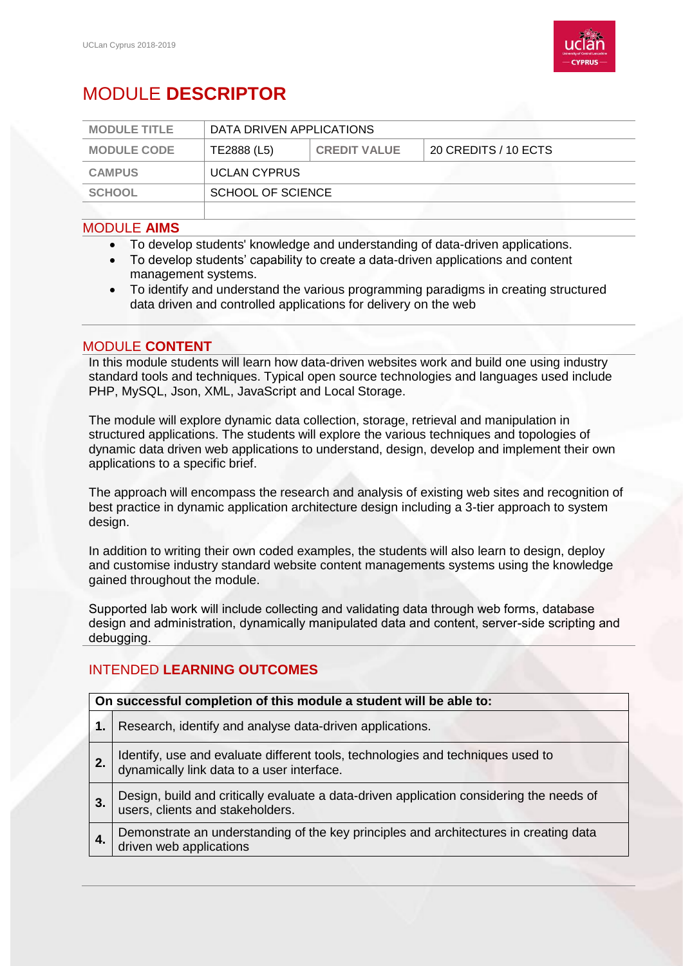

# MODULE **DESCRIPTOR**

| <b>MODULE TITLE</b> | DATA DRIVEN APPLICATIONS |                     |                      |
|---------------------|--------------------------|---------------------|----------------------|
| <b>MODULE CODE</b>  | TE2888 (L5)              | <b>CREDIT VALUE</b> | 20 CREDITS / 10 ECTS |
| <b>CAMPUS</b>       | <b>UCLAN CYPRUS</b>      |                     |                      |
| <b>SCHOOL</b>       | SCHOOL OF SCIENCE        |                     |                      |
|                     |                          |                     |                      |

## MODULE **AIMS**

- To develop students' knowledge and understanding of data-driven applications.
- To develop students' capability to create a data-driven applications and content management systems.
- To identify and understand the various programming paradigms in creating structured data driven and controlled applications for delivery on the web

### MODULE **CONTENT**

In this module students will learn how data-driven websites work and build one using industry standard tools and techniques. Typical open source technologies and languages used include PHP, MySQL, Json, XML, JavaScript and Local Storage.

The module will explore dynamic data collection, storage, retrieval and manipulation in structured applications. The students will explore the various techniques and topologies of dynamic data driven web applications to understand, design, develop and implement their own applications to a specific brief.

The approach will encompass the research and analysis of existing web sites and recognition of best practice in dynamic application architecture design including a 3-tier approach to system design.

In addition to writing their own coded examples, the students will also learn to design, deploy and customise industry standard website content managements systems using the knowledge gained throughout the module.

Supported lab work will include collecting and validating data through web forms, database design and administration, dynamically manipulated data and content, server-side scripting and debugging.

# INTENDED **LEARNING OUTCOMES**

#### **On successful completion of this module a student will be able to:**

- **1.** Research, identify and analyse data-driven applications.
- **2.** Identify, use and evaluate different tools, technologies and techniques used to dynamically link data to a user interface.
- **3.** Design, build and critically evaluate a data-driven application considering the needs of users, clients and stakeholders.
- **4.** Demonstrate an understanding of the key principles and architectures in creating data driven web applications